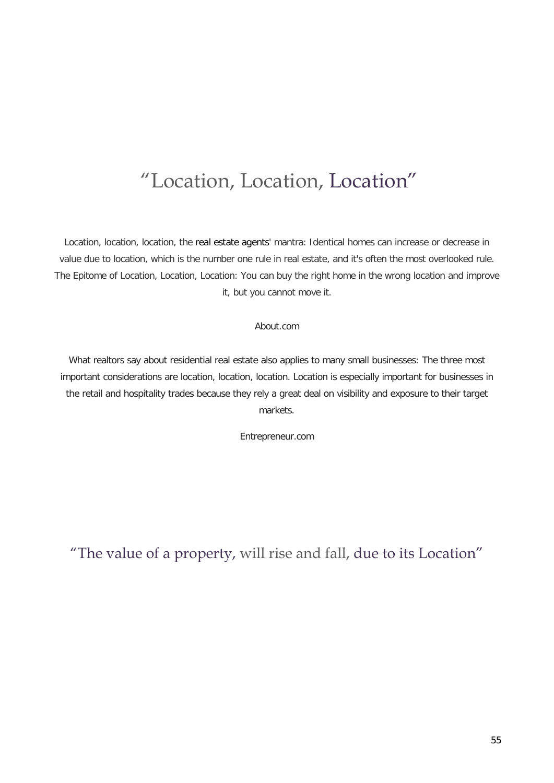#### "Location, Location, Location"

Location, location, location, the real estate agents' mantra: Identical homes can increase or decrease in value due to location, which is the number one rule in real estate, and it's often the most overlooked rule. The Epitome of Location, Location, Location: You can buy the right home in the wrong location and improve it, but you cannot move it.

#### About.com

What realtors say about residential real estate also applies to many small businesses: The three most important considerations are location, location, location. Location is especially important for businesses in the retail and hospitality trades because they rely a great deal on visibility and exposure to their target markets.

Entrepreneur.com

"The value of a property, will rise and fall, due to its Location"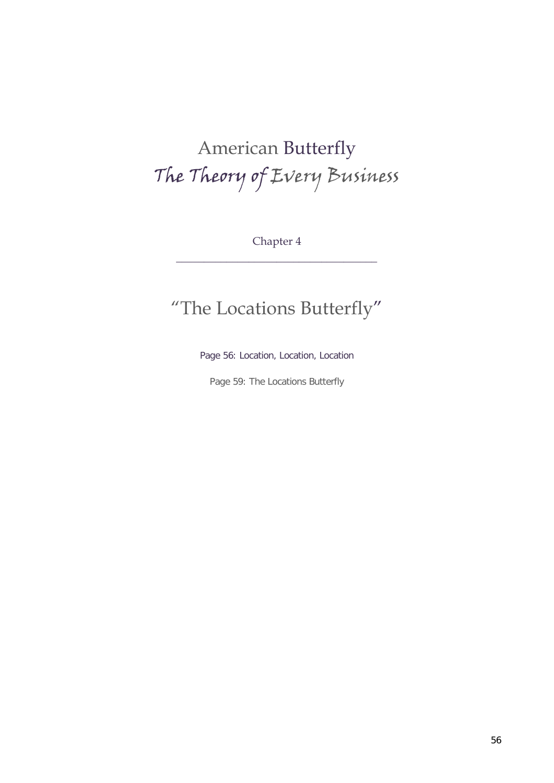# American Butterfly The Theory of Every Business

Chapter 4 \_\_\_\_\_\_\_\_\_\_\_\_\_\_\_\_\_\_\_\_\_\_\_\_\_\_\_\_\_\_\_\_\_\_\_\_

### "The Locations Butterfly"

Page 56: Location, Location, Location

Page 59: The Locations Butterfly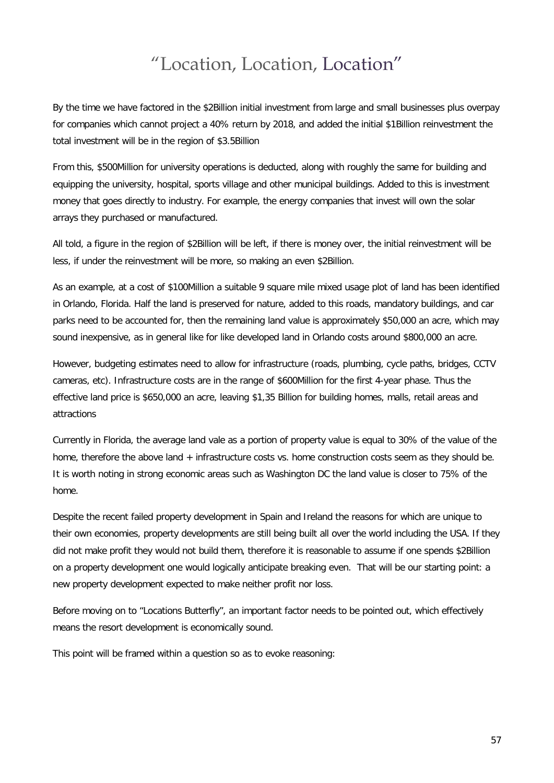#### "Location, Location, Location"

By the time we have factored in the \$2Billion initial investment from large and small businesses plus overpay for companies which cannot project a 40% return by 2018, and added the initial \$1Billion reinvestment the total investment will be in the region of \$3.5Billion

From this, \$500Million for university operations is deducted, along with roughly the same for building and equipping the university, hospital, sports village and other municipal buildings. Added to this is investment money that goes directly to industry. For example, the energy companies that invest will own the solar arrays they purchased or manufactured.

All told, a figure in the region of \$2Billion will be left, if there is money over, the initial reinvestment will be less, if under the reinvestment will be more, so making an even \$2Billion.

As an example, at a cost of \$100Million a suitable 9 square mile mixed usage plot of land has been identified in Orlando, Florida. Half the land is preserved for nature, added to this roads, mandatory buildings, and car parks need to be accounted for, then the remaining land value is approximately \$50,000 an acre, which may sound inexpensive, as in general like for like developed land in Orlando costs around \$800,000 an acre.

However, budgeting estimates need to allow for infrastructure (roads, plumbing, cycle paths, bridges, CCTV cameras, etc). Infrastructure costs are in the range of \$600Million for the first 4-year phase. Thus the effective land price is \$650,000 an acre, leaving \$1,35 Billion for building homes, malls, retail areas and attractions

Currently in Florida, the average land vale as a portion of property value is equal to 30% of the value of the home, therefore the above land + infrastructure costs vs. home construction costs seem as they should be. It is worth noting in strong economic areas such as Washington DC the land value is closer to 75% of the home.

Despite the recent failed property development in Spain and Ireland the reasons for which are unique to their own economies, property developments are still being built all over the world including the USA. If they did not make profit they would not build them, therefore it is reasonable to assume if one spends \$2Billion on a property development one would logically anticipate breaking even. That will be our starting point: a new property development expected to make neither profit nor loss.

Before moving on to "Locations Butterfly", an important factor needs to be pointed out, which effectively means the resort development is economically sound.

This point will be framed within a question so as to evoke reasoning: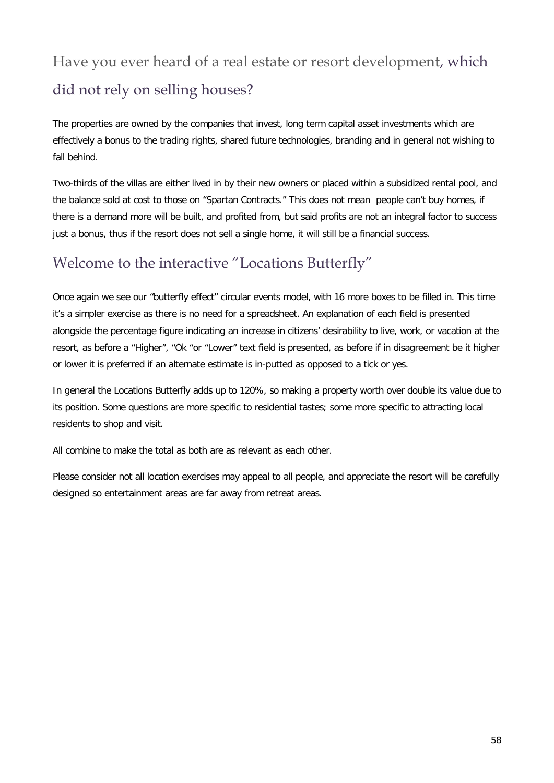## Have you ever heard of a real estate or resort development, which did not rely on selling houses?

The properties are owned by the companies that invest, long term capital asset investments which are effectively a bonus to the trading rights, shared future technologies, branding and in general not wishing to fall behind.

Two-thirds of the villas are either lived in by their new owners or placed within a subsidized rental pool, and the balance sold at cost to those on "Spartan Contracts." This does not mean people can't buy homes, if there is a demand more will be built, and profited from, but said profits are not an integral factor to success just a bonus, thus if the resort does not sell a single home, it will still be a financial success.

#### Welcome to the interactive "Locations Butterfly"

Once again we see our "butterfly effect" circular events model, with 16 more boxes to be filled in. This time it's a simpler exercise as there is no need for a spreadsheet. An explanation of each field is presented alongside the percentage figure indicating an increase in citizens' desirability to live, work, or vacation at the resort, as before a "Higher", "Ok "or "Lower" text field is presented, as before if in disagreement be it higher or lower it is preferred if an alternate estimate is in-putted as opposed to a tick or yes.

In general the Locations Butterfly adds up to 120%, so making a property worth over double its value due to its position. Some questions are more specific to residential tastes; some more specific to attracting local residents to shop and visit.

All combine to make the total as both are as relevant as each other.

Please consider not all location exercises may appeal to all people, and appreciate the resort will be carefully designed so entertainment areas are far away from retreat areas.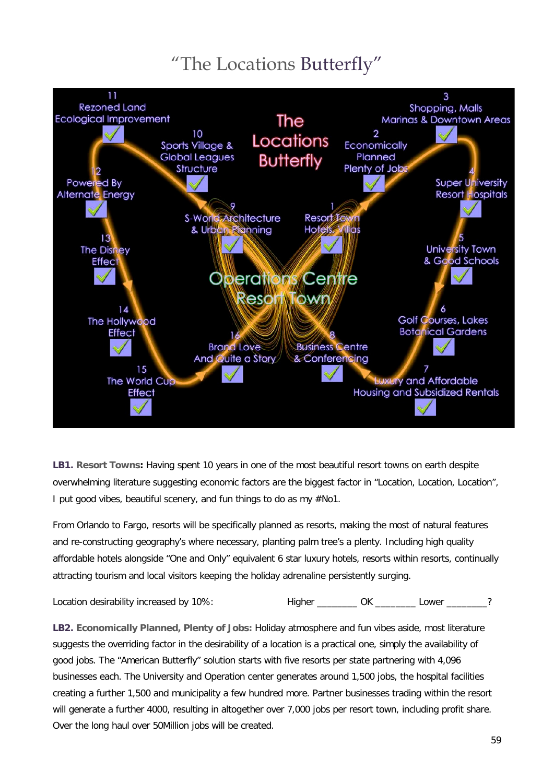#### "The Locations Butterfly"



**LB1. Resort Towns:** Having spent 10 years in one of the most beautiful resort towns on earth despite overwhelming literature suggesting economic factors are the biggest factor in "Location, Location, Location", I put good vibes, beautiful scenery, and fun things to do as my #No1.

From Orlando to Fargo, resorts will be specifically planned as resorts, making the most of natural features and re-constructing geography's where necessary, planting palm tree's a plenty. Including high quality affordable hotels alongside "One and Only" equivalent 6 star luxury hotels, resorts within resorts, continually attracting tourism and local visitors keeping the holiday adrenaline persistently surging.

Location desirability increased by 10%: Higher \_\_\_\_\_\_\_\_ OK \_\_\_\_\_\_\_ Lower \_\_\_\_\_\_?

**LB2. Economically Planned, Plenty of Jobs:** Holiday atmosphere and fun vibes aside, most literature suggests the overriding factor in the desirability of a location is a practical one, simply the availability of good jobs. The "American Butterfly" solution starts with five resorts per state partnering with 4,096 businesses each. The University and Operation center generates around 1,500 jobs, the hospital facilities creating a further 1,500 and municipality a few hundred more. Partner businesses trading within the resort will generate a further 4000, resulting in altogether over 7,000 jobs per resort town, including profit share. Over the long haul over 50Million jobs will be created.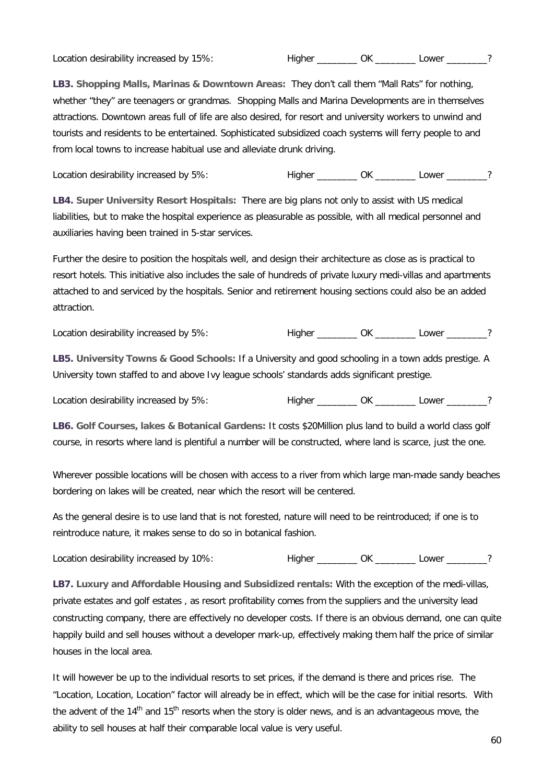Location desirability increased by 15%: Thigher Thigher Communication desirability increased by 15%:

**LB3. Shopping Malls, Marinas & Downtown Areas:** They don't call them "Mall Rats" for nothing, whether "they" are teenagers or grandmas. Shopping Malls and Marina Developments are in themselves attractions. Downtown areas full of life are also desired, for resort and university workers to unwind and tourists and residents to be entertained. Sophisticated subsidized coach systems will ferry people to and from local towns to increase habitual use and alleviate drunk driving.

Location desirability increased by 5%: Higher \_\_\_\_\_\_\_\_ OK \_\_\_\_\_\_\_ Lower \_\_\_\_\_\_?

**LB4. Super University Resort Hospitals:** There are big plans not only to assist with US medical liabilities, but to make the hospital experience as pleasurable as possible, with all medical personnel and auxiliaries having been trained in 5-star services.

Further the desire to position the hospitals well, and design their architecture as close as is practical to resort hotels. This initiative also includes the sale of hundreds of private luxury medi-villas and apartments attached to and serviced by the hospitals. Senior and retirement housing sections could also be an added attraction.

Location desirability increased by 5%: Higher \_\_\_\_\_\_\_\_ OK \_\_\_\_\_\_\_\_ Lower \_\_\_\_\_\_\_?

**LB5. University Towns & Good Schools:** If a University and good schooling in a town adds prestige. A University town staffed to and above Ivy league schools' standards adds significant prestige.

Location desirability increased by 5%: Higher \_\_\_\_\_\_\_\_ OK \_\_\_\_\_\_\_ Lower \_\_\_\_\_\_?

**LB6. Golf Courses, lakes & Botanical Gardens:** It costs \$20Million plus land to build a world class golf course, in resorts where land is plentiful a number will be constructed, where land is scarce, just the one.

Wherever possible locations will be chosen with access to a river from which large man-made sandy beaches bordering on lakes will be created, near which the resort will be centered.

As the general desire is to use land that is not forested, nature will need to be reintroduced; if one is to reintroduce nature, it makes sense to do so in botanical fashion.

Location desirability increased by 10%: Higher \_\_\_\_\_\_\_\_ OK \_\_\_\_\_\_\_\_ Lower \_\_\_\_\_\_\_?

**LB7. Luxury and Affordable Housing and Subsidized rentals:** With the exception of the medi-villas, private estates and golf estates , as resort profitability comes from the suppliers and the university lead constructing company, there are effectively no developer costs. If there is an obvious demand, one can quite happily build and sell houses without a developer mark-up, effectively making them half the price of similar houses in the local area.

It will however be up to the individual resorts to set prices, if the demand is there and prices rise. The "Location, Location, Location" factor will already be in effect, which will be the case for initial resorts. With the advent of the 14<sup>th</sup> and 15<sup>th</sup> resorts when the story is older news, and is an advantageous move, the ability to sell houses at half their comparable local value is very useful.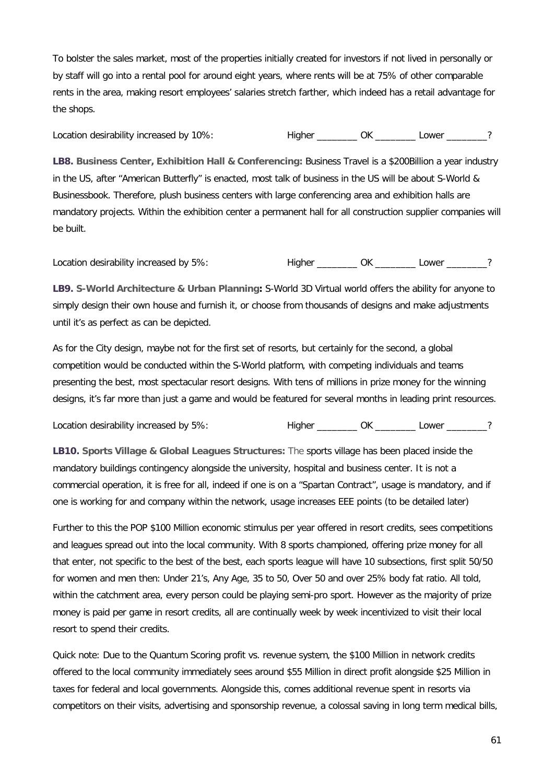To bolster the sales market, most of the properties initially created for investors if not lived in personally or by staff will go into a rental pool for around eight years, where rents will be at 75% of other comparable rents in the area, making resort employees' salaries stretch farther, which indeed has a retail advantage for the shops.

Location desirability increased by 10%: Thigher Thigher Communication desirability increased by 10%:

**LB8. Business Center, Exhibition Hall & Conferencing:** Business Travel is a \$200Billion a year industry in the US, after "American Butterfly" is enacted, most talk of business in the US will be about S-World & Businessbook. Therefore, plush business centers with large conferencing area and exhibition halls are mandatory projects. Within the exhibition center a permanent hall for all construction supplier companies will be built.

Location desirability increased by 5%: Thigher Thigher Communication desirability increased by 5%:

**LB9. S-World Architecture & Urban Planning:** S-World 3D Virtual world offers the ability for anyone to simply design their own house and furnish it, or choose from thousands of designs and make adjustments until it's as perfect as can be depicted.

As for the City design, maybe not for the first set of resorts, but certainly for the second, a global competition would be conducted within the S-World platform, with competing individuals and teams presenting the best, most spectacular resort designs. With tens of millions in prize money for the winning designs, it's far more than just a game and would be featured for several months in leading print resources.

Location desirability increased by 5%:<br>
Higher \_\_\_\_\_\_\_\_\_ OK \_\_\_\_\_\_\_\_ Lower \_\_\_\_\_\_\_?

**LB10. Sports Village & Global Leagues Structures:** The sports village has been placed inside the mandatory buildings contingency alongside the university, hospital and business center. It is not a commercial operation, it is free for all, indeed if one is on a "Spartan Contract", usage is mandatory, and if one is working for and company within the network, usage increases EEE points (to be detailed later)

Further to this the POP \$100 Million economic stimulus per year offered in resort credits, sees competitions and leagues spread out into the local community. With 8 sports championed, offering prize money for all that enter, not specific to the best of the best, each sports league will have 10 subsections, first split 50/50 for women and men then: Under 21's, Any Age, 35 to 50, Over 50 and over 25% body fat ratio. All told, within the catchment area, every person could be playing semi-pro sport. However as the majority of prize money is paid per game in resort credits, all are continually week by week incentivized to visit their local resort to spend their credits.

Quick note: Due to the Quantum Scoring profit vs. revenue system, the \$100 Million in network credits offered to the local community immediately sees around \$55 Million in direct profit alongside \$25 Million in taxes for federal and local governments. Alongside this, comes additional revenue spent in resorts via competitors on their visits, advertising and sponsorship revenue, a colossal saving in long term medical bills,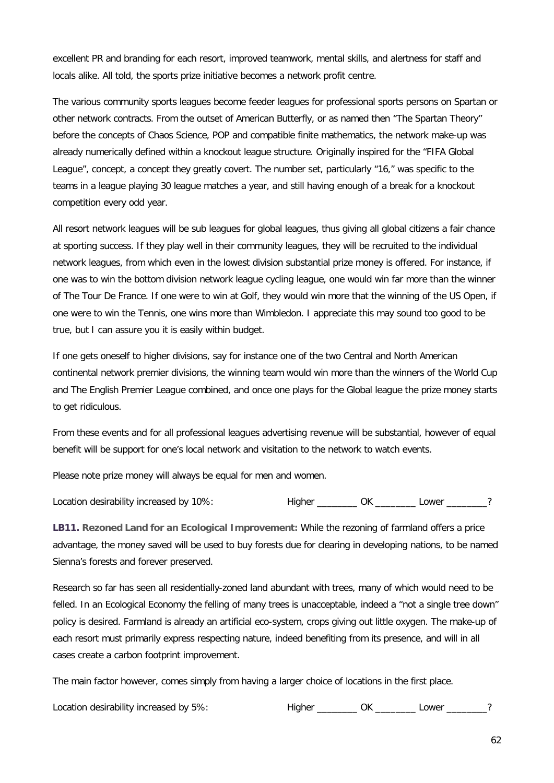excellent PR and branding for each resort, improved teamwork, mental skills, and alertness for staff and locals alike. All told, the sports prize initiative becomes a network profit centre.

The various community sports leagues become feeder leagues for professional sports persons on Spartan or other network contracts. From the outset of American Butterfly, or as named then "The Spartan Theory" before the concepts of Chaos Science, POP and compatible finite mathematics, the network make-up was already numerically defined within a knockout league structure. Originally inspired for the "FIFA Global League", concept, a concept they greatly covert. The number set, particularly "16," was specific to the teams in a league playing 30 league matches a year, and still having enough of a break for a knockout competition every odd year.

All resort network leagues will be sub leagues for global leagues, thus giving all global citizens a fair chance at sporting success. If they play well in their community leagues, they will be recruited to the individual network leagues, from which even in the lowest division substantial prize money is offered. For instance, if one was to win the bottom division network league cycling league, one would win far more than the winner of The Tour De France. If one were to win at Golf, they would win more that the winning of the US Open, if one were to win the Tennis, one wins more than Wimbledon. I appreciate this may sound too good to be true, but I can assure you it is easily within budget.

If one gets oneself to higher divisions, say for instance one of the two Central and North American continental network premier divisions, the winning team would win more than the winners of the World Cup and The English Premier League combined, and once one plays for the Global league the prize money starts to get ridiculous.

From these events and for all professional leagues advertising revenue will be substantial, however of equal benefit will be support for one's local network and visitation to the network to watch events.

Please note prize money will always be equal for men and women.

| Location desirability increased by 10%: |  | _owe <sup>r</sup> |  |
|-----------------------------------------|--|-------------------|--|
|                                         |  |                   |  |

**LB11. Rezoned Land for an Ecological Improvement:** While the rezoning of farmland offers a price advantage, the money saved will be used to buy forests due for clearing in developing nations, to be named Sienna's forests and forever preserved.

Research so far has seen all residentially-zoned land abundant with trees, many of which would need to be felled. In an Ecological Economy the felling of many trees is unacceptable, indeed a "not a single tree down" policy is desired. Farmland is already an artificial eco-system, crops giving out little oxygen. The make-up of each resort must primarily express respecting nature, indeed benefiting from its presence, and will in all cases create a carbon footprint improvement.

The main factor however, comes simply from having a larger choice of locations in the first place.

Location desirability increased by 5%: Thigher Thigher COK Lower 2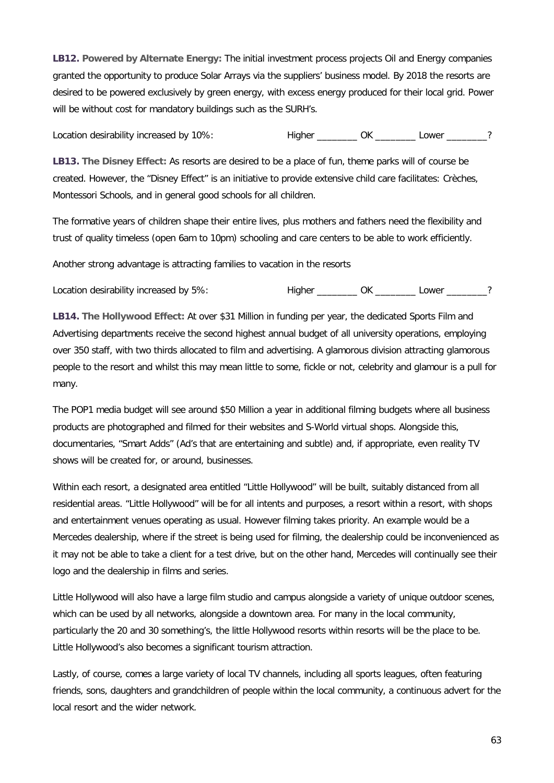**LB12. Powered by Alternate Energy:** The initial investment process projects Oil and Energy companies granted the opportunity to produce Solar Arrays via the suppliers' business model. By 2018 the resorts are desired to be powered exclusively by green energy, with excess energy produced for their local grid. Power will be without cost for mandatory buildings such as the SURH's.

Location desirability increased by 10%: Thigher Thigher Communication desirability increased by 10%:

**LB13. The Disney Effect:** As resorts are desired to be a place of fun, theme parks will of course be created. However, the "Disney Effect" is an initiative to provide extensive child care facilitates: Crèches, Montessori Schools, and in general good schools for all children.

The formative years of children shape their entire lives, plus mothers and fathers need the flexibility and trust of quality timeless (open 6am to 10pm) schooling and care centers to be able to work efficiently.

Another strong advantage is attracting families to vacation in the resorts

Location desirability increased by 5%: Thigher Theorem CK Lower 2

**LB14. The Hollywood Effect:** At over \$31 Million in funding per year, the dedicated Sports Film and Advertising departments receive the second highest annual budget of all university operations, employing over 350 staff, with two thirds allocated to film and advertising. A glamorous division attracting glamorous people to the resort and whilst this may mean little to some, fickle or not, celebrity and glamour is a pull for many.

The POP1 media budget will see around \$50 Million a year in additional filming budgets where all business products are photographed and filmed for their websites and S-World virtual shops. Alongside this, documentaries, "Smart Adds" (Ad's that are entertaining and subtle) and, if appropriate, even reality TV shows will be created for, or around, businesses.

Within each resort, a designated area entitled "Little Hollywood" will be built, suitably distanced from all residential areas. "Little Hollywood" will be for all intents and purposes, a resort within a resort, with shops and entertainment venues operating as usual. However filming takes priority. An example would be a Mercedes dealership, where if the street is being used for filming, the dealership could be inconvenienced as it may not be able to take a client for a test drive, but on the other hand, Mercedes will continually see their logo and the dealership in films and series.

Little Hollywood will also have a large film studio and campus alongside a variety of unique outdoor scenes, which can be used by all networks, alongside a downtown area. For many in the local community, particularly the 20 and 30 something's, the little Hollywood resorts within resorts will be the place to be. Little Hollywood's also becomes a significant tourism attraction.

Lastly, of course, comes a large variety of local TV channels, including all sports leagues, often featuring friends, sons, daughters and grandchildren of people within the local community, a continuous advert for the local resort and the wider network.